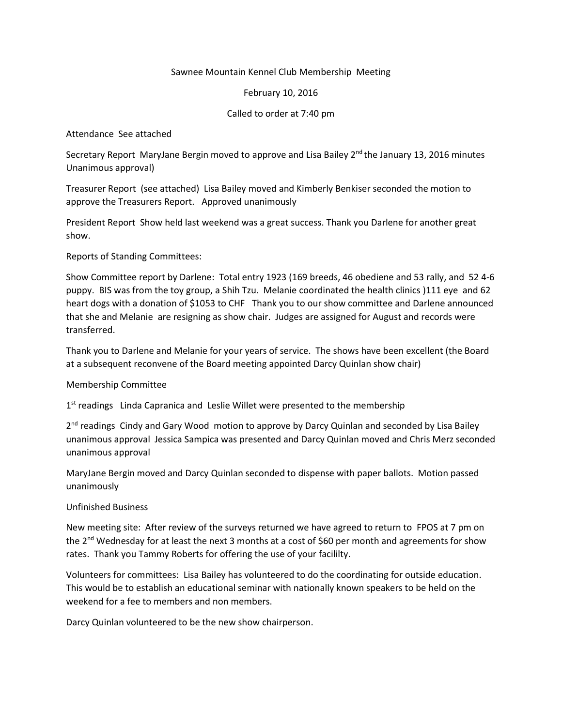# Sawnee Mountain Kennel Club Membership Meeting

# February 10, 2016

# Called to order at 7:40 pm

# Attendance See attached

Secretary Report MaryJane Bergin moved to approve and Lisa Bailey  $2^{nd}$  the January 13, 2016 minutes Unanimous approval)

Treasurer Report (see attached) Lisa Bailey moved and Kimberly Benkiser seconded the motion to approve the Treasurers Report. Approved unanimously

President Report Show held last weekend was a great success. Thank you Darlene for another great show.

Reports of Standing Committees:

Show Committee report by Darlene: Total entry 1923 (169 breeds, 46 obediene and 53 rally, and 52 4-6 puppy. BIS was from the toy group, a Shih Tzu. Melanie coordinated the health clinics )111 eye and 62 heart dogs with a donation of \$1053 to CHF Thank you to our show committee and Darlene announced that she and Melanie are resigning as show chair. Judges are assigned for August and records were transferred.

Thank you to Darlene and Melanie for your years of service. The shows have been excellent (the Board at a subsequent reconvene of the Board meeting appointed Darcy Quinlan show chair)

## Membership Committee

1<sup>st</sup> readings Linda Capranica and Leslie Willet were presented to the membership

2<sup>nd</sup> readings Cindy and Gary Wood motion to approve by Darcy Quinlan and seconded by Lisa Bailey unanimous approval Jessica Sampica was presented and Darcy Quinlan moved and Chris Merz seconded unanimous approval

MaryJane Bergin moved and Darcy Quinlan seconded to dispense with paper ballots. Motion passed unanimously

## Unfinished Business

New meeting site: After review of the surveys returned we have agreed to return to FPOS at 7 pm on the  $2^{nd}$  Wednesday for at least the next 3 months at a cost of \$60 per month and agreements for show rates. Thank you Tammy Roberts for offering the use of your facililty.

Volunteers for committees: Lisa Bailey has volunteered to do the coordinating for outside education. This would be to establish an educational seminar with nationally known speakers to be held on the weekend for a fee to members and non members.

Darcy Quinlan volunteered to be the new show chairperson.